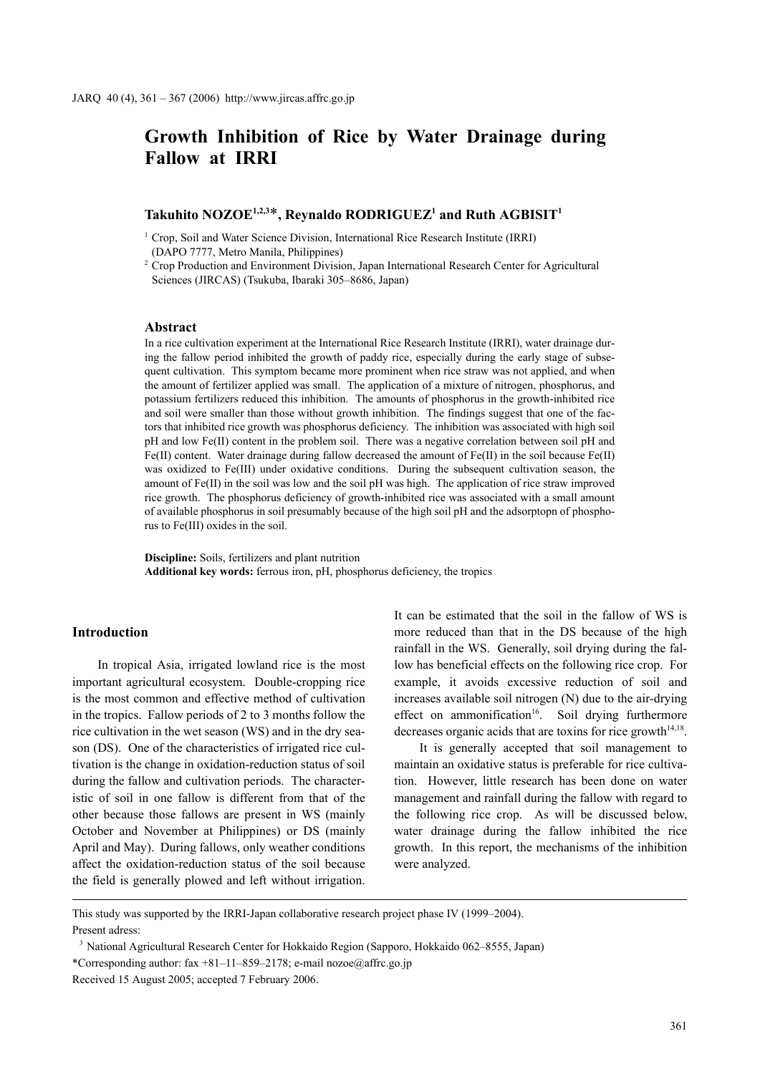# **Growth Inhibition of Rice by Water Drainage during Fallow at IRRI**

# $\boldsymbol{\mathrm{T}}$ akuhito NOZOE $^{1,2,3*}$ , Reynaldo RODRIGUEZ $^1$  and Ruth AGBISIT $^1$

<sup>1</sup> Crop, Soil and Water Science Division, International Rice Research Institute (IRRI) (DAPO 7777, Metro Manila, Philippines)

<sup>2</sup> Crop Production and Environment Division, Japan International Research Center for Agricultural Sciences (JIRCAS) (Tsukuba, Ibaraki 305–8686, Japan)

# **Abstract**

In a rice cultivation experiment at the International Rice Research Institute (IRRI), water drainage during the fallow period inhibited the growth of paddy rice, especially during the early stage of subsequent cultivation. This symptom became more prominent when rice straw was not applied, and when the amount of fertilizer applied was small. The application of a mixture of nitrogen, phosphorus, and potassium fertilizers reduced this inhibition. The amounts of phosphorus in the growth-inhibited rice and soil were smaller than those without growth inhibition. The findings suggest that one of the factors that inhibited rice growth was phosphorus deficiency. The inhibition was associated with high soil pH and low Fe(II) content in the problem soil. There was a negative correlation between soil pH and Fe(II) content. Water drainage during fallow decreased the amount of Fe(II) in the soil because Fe(II) was oxidized to Fe(III) under oxidative conditions. During the subsequent cultivation season, the amount of Fe(II) in the soil was low and the soil pH was high. The application of rice straw improved rice growth. The phosphorus deficiency of growth-inhibited rice was associated with a small amount of available phosphorus in soil presumably because of the high soil pH and the adsorptopn of phosphorus to Fe(III) oxides in the soil.

**Discipline:** Soils, fertilizers and plant nutrition **Additional key words:** ferrous iron, pH, phosphorus deficiency, the tropics

## **Introduction**

In tropical Asia, irrigated lowland rice is the most important agricultural ecosystem. Double-cropping rice is the most common and effective method of cultivation in the tropics. Fallow periods of 2 to 3 months follow the rice cultivation in the wet season (WS) and in the dry season (DS). One of the characteristics of irrigated rice cultivation is the change in oxidation-reduction status of soil during the fallow and cultivation periods. The characteristic of soil in one fallow is different from that of the other because those fallows are present in WS (mainly October and November at Philippines) or DS (mainly April and May). During fallows, only weather conditions affect the oxidation-reduction status of the soil because the field is generally plowed and left without irrigation. It can be estimated that the soil in the fallow of WS is more reduced than that in the DS because of the high rainfall in the WS. Generally, soil drying during the fallow has beneficial effects on the following rice crop. For example, it avoids excessive reduction of soil and increases available soil nitrogen (N) due to the air-drying effect on ammonification<sup>16</sup>. Soil drying furthermore decreases organic acids that are toxins for rice growth $14,18$ .

It is generally accepted that soil management to maintain an oxidative status is preferable for rice cultivation. However, little research has been done on water management and rainfall during the fallow with regard to the following rice crop. As will be discussed below, water drainage during the fallow inhibited the rice growth. In this report, the mechanisms of the inhibition were analyzed.

This study was supported by the IRRI-Japan collaborative research project phase IV (1999–2004). Present adress:

<sup>3</sup> National Agricultural Research Center for Hokkaido Region (Sapporo, Hokkaido 062–8555, Japan) \*Corresponding author:  $\frac{5x + 81 - 11 - 859 - 2178}{e}$ ; e-mail nozoe@affrc.go.jp Received 15 August 2005; accepted 7 February 2006.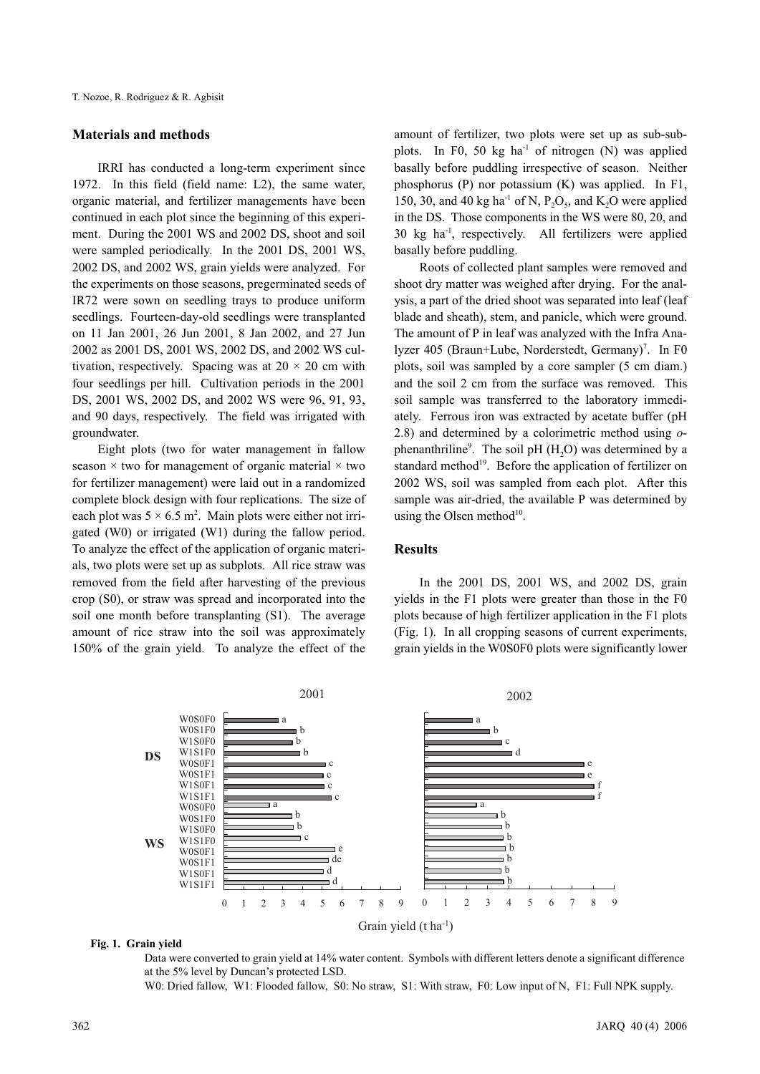#### **Materials and methods**

IRRI has conducted a long-term experiment since 1972. In this field (field name: L2), the same water, organic material, and fertilizer managements have been continued in each plot since the beginning of this experiment. During the 2001 WS and 2002 DS, shoot and soil were sampled periodically. In the 2001 DS, 2001 WS, 2002 DS, and 2002 WS, grain yields were analyzed. For the experiments on those seasons, pregerminated seeds of IR72 were sown on seedling trays to produce uniform seedlings. Fourteen-day-old seedlings were transplanted on 11 Jan 2001, 26 Jun 2001, 8 Jan 2002, and 27 Jun 2002 as 2001 DS, 2001 WS, 2002 DS, and 2002 WS cultivation, respectively. Spacing was at  $20 \times 20$  cm with four seedlings per hill. Cultivation periods in the 2001 DS, 2001 WS, 2002 DS, and 2002 WS were 96, 91, 93, and 90 days, respectively. The field was irrigated with groundwater.

Eight plots (two for water management in fallow season  $\times$  two for management of organic material  $\times$  two for fertilizer management) were laid out in a randomized complete block design with four replications. The size of each plot was  $5 \times 6.5$  m<sup>2</sup>. Main plots were either not irrigated (W0) or irrigated (W1) during the fallow period. To analyze the effect of the application of organic materials, two plots were set up as subplots. All rice straw was removed from the field after harvesting of the previous crop (S0), or straw was spread and incorporated into the soil one month before transplanting (S1). The average amount of rice straw into the soil was approximately 150% of the grain yield. To analyze the effect of the amount of fertilizer, two plots were set up as sub-subplots. In F0, 50 kg  $ha^{-1}$  of nitrogen (N) was applied basally before puddling irrespective of season. Neither phosphorus (P) nor potassium (K) was applied. In F1, 150, 30, and 40 kg ha<sup>-1</sup> of N,  $P_2O_5$ , and K<sub>2</sub>O were applied in the DS. Those components in the WS were 80, 20, and 30 kg ha-1, respectively. All fertilizers were applied basally before puddling.

Roots of collected plant samples were removed and shoot dry matter was weighed after drying. For the analysis, a part of the dried shoot was separated into leaf (leaf blade and sheath), stem, and panicle, which were ground. The amount of P in leaf was analyzed with the Infra Analyzer 405 (Braun+Lube, Norderstedt, Germany)<sup>7</sup>. In F0 plots, soil was sampled by a core sampler (5 cm diam.) and the soil 2 cm from the surface was removed. This soil sample was transferred to the laboratory immediately. Ferrous iron was extracted by acetate buffer (pH 2.8) and determined by a colorimetric method using *o*phenanthriline<sup>9</sup>. The soil pH  $(H_2O)$  was determined by a standard method<sup>19</sup>. Before the application of fertilizer on 2002 WS, soil was sampled from each plot. After this sample was air-dried, the available P was determined by using the Olsen method $10$ .

## **Results**

In the 2001 DS, 2001 WS, and 2002 DS, grain yields in the F1 plots were greater than those in the F0 plots because of high fertilizer application in the F1 plots (Fig. 1). In all cropping seasons of current experiments, grain yields in the W0S0F0 plots were significantly lower



#### **Fig. 1. Grain yield**

Data were converted to grain yield at 14% water content. Symbols with different letters denote a significant difference at the 5% level by Duncan's protected LSD.

W0: Dried fallow, W1: Flooded fallow, S0: No straw, S1: With straw, F0: Low input of N, F1: Full NPK supply.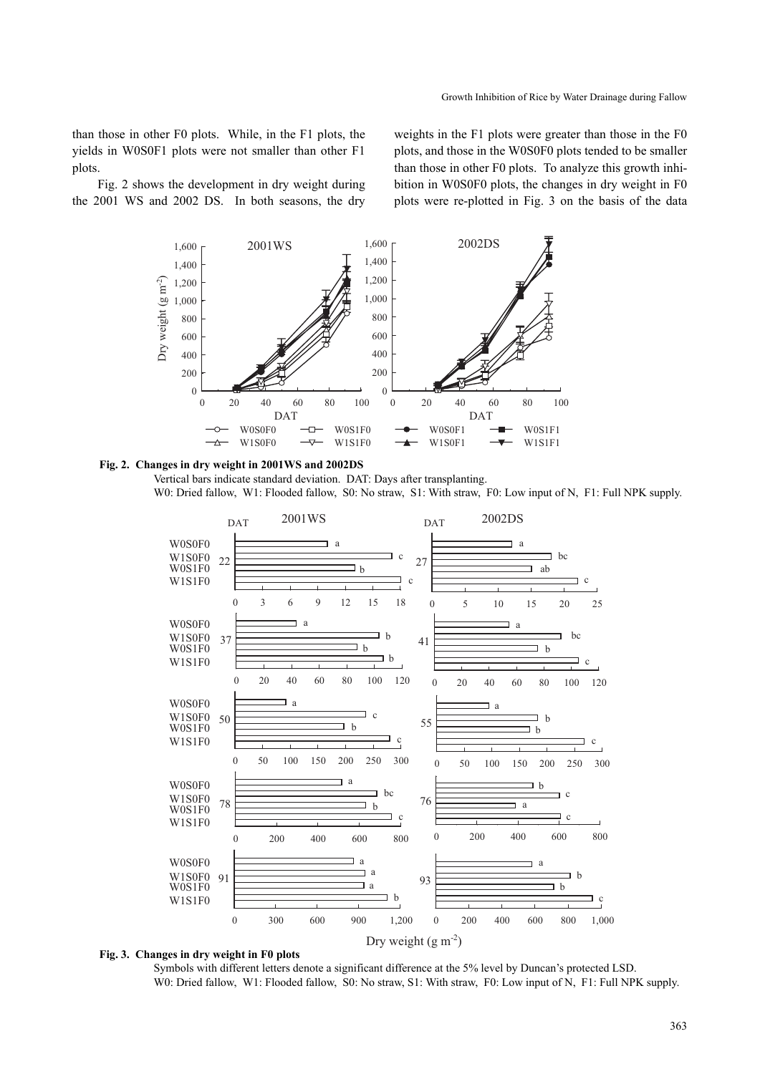than those in other F0 plots. While, in the F1 plots, the yields in W0S0F1 plots were not smaller than other F1 plots.

Fig. 2 shows the development in dry weight during the 2001 WS and 2002 DS. In both seasons, the dry weights in the F1 plots were greater than those in the F0 plots, and those in the W0S0F0 plots tended to be smaller than those in other F0 plots. To analyze this growth inhibition in W0S0F0 plots, the changes in dry weight in F0 plots were re-plotted in Fig. 3 on the basis of the data



#### **Fig. 2. Changes in dry weight in 2001WS and 2002DS**

Vertical bars indicate standard deviation. DAT: Days after transplanting. W0: Dried fallow, W1: Flooded fallow, S0: No straw, S1: With straw, F0: Low input of N, F1: Full NPK supply.



#### **Fig. 3. Changes in dry weight in F0 plots**

Symbols with different letters denote a significant difference at the 5% level by Duncan's protected LSD. W0: Dried fallow, W1: Flooded fallow, S0: No straw, S1: With straw, F0: Low input of N, F1: Full NPK supply.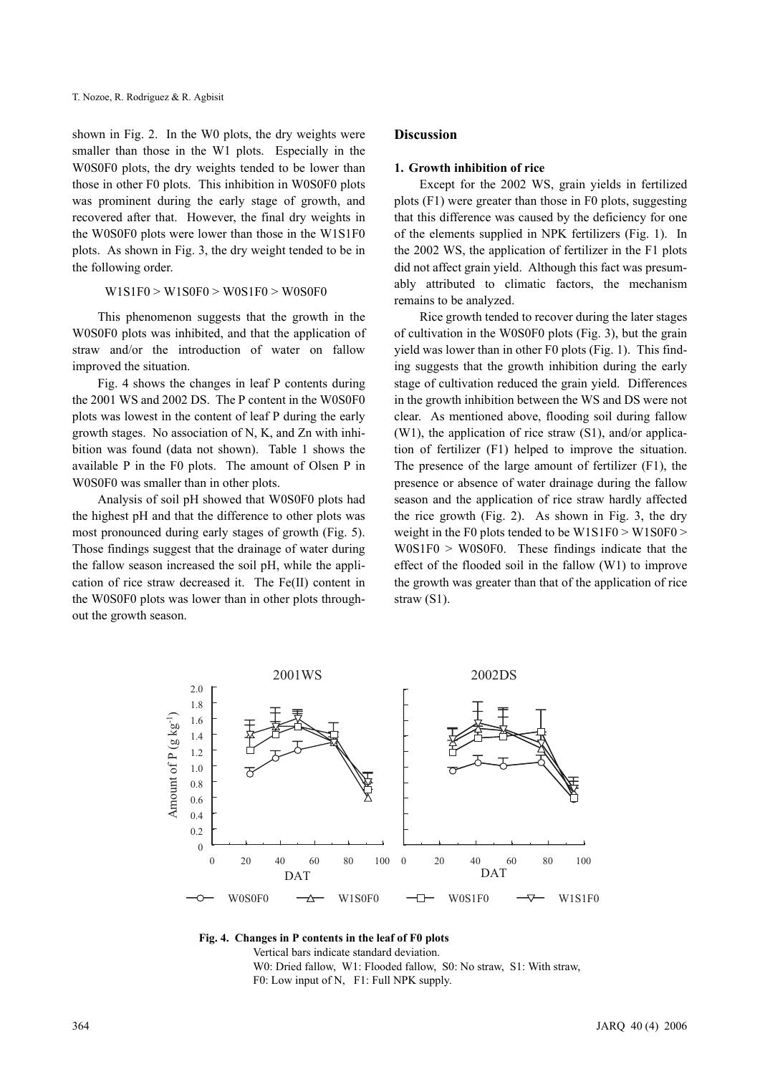shown in Fig. 2. In the W0 plots, the dry weights were smaller than those in the W1 plots. Especially in the W0S0F0 plots, the dry weights tended to be lower than those in other F0 plots. This inhibition in W0S0F0 plots was prominent during the early stage of growth, and recovered after that. However, the final dry weights in the W0S0F0 plots were lower than those in the W1S1F0 plots. As shown in Fig. 3, the dry weight tended to be in the following order.

#### W1S1F0 > W1S0F0 > W0S1F0 > W0S0F0

This phenomenon suggests that the growth in the W0S0F0 plots was inhibited, and that the application of straw and/or the introduction of water on fallow improved the situation.

Fig. 4 shows the changes in leaf P contents during the 2001 WS and 2002 DS. The P content in the W0S0F0 plots was lowest in the content of leaf P during the early growth stages. No association of N, K, and Zn with inhibition was found (data not shown). Table 1 shows the available P in the F0 plots. The amount of Olsen P in W0S0F0 was smaller than in other plots.

Analysis of soil pH showed that W0S0F0 plots had the highest pH and that the difference to other plots was most pronounced during early stages of growth (Fig. 5). Those findings suggest that the drainage of water during the fallow season increased the soil pH, while the application of rice straw decreased it. The Fe(II) content in the W0S0F0 plots was lower than in other plots throughout the growth season.

## **Discussion**

#### **1. Growth inhibition of rice**

Except for the 2002 WS, grain yields in fertilized plots (F1) were greater than those in F0 plots, suggesting that this difference was caused by the deficiency for one of the elements supplied in NPK fertilizers (Fig. 1). In the 2002 WS, the application of fertilizer in the F1 plots did not affect grain yield. Although this fact was presumably attributed to climatic factors, the mechanism remains to be analyzed.

Rice growth tended to recover during the later stages of cultivation in the W0S0F0 plots (Fig. 3), but the grain yield was lower than in other F0 plots (Fig. 1). This finding suggests that the growth inhibition during the early stage of cultivation reduced the grain yield. Differences in the growth inhibition between the WS and DS were not clear. As mentioned above, flooding soil during fallow  $(W1)$ , the application of rice straw  $(S1)$ , and/or application of fertilizer (F1) helped to improve the situation. The presence of the large amount of fertilizer (F1), the presence or absence of water drainage during the fallow season and the application of rice straw hardly affected the rice growth (Fig. 2). As shown in Fig. 3, the dry weight in the F0 plots tended to be W1S1F0 > W1S0F0 >  $W0S1F0 > W0S0F0$ . These findings indicate that the effect of the flooded soil in the fallow (W1) to improve the growth was greater than that of the application of rice straw (S1).



**Fig. 4. Changes in P contents in the leaf of F0 plots**  Vertical bars indicate standard deviation. W0: Dried fallow, W1: Flooded fallow, S0: No straw, S1: With straw, F0: Low input of N, F1: Full NPK supply.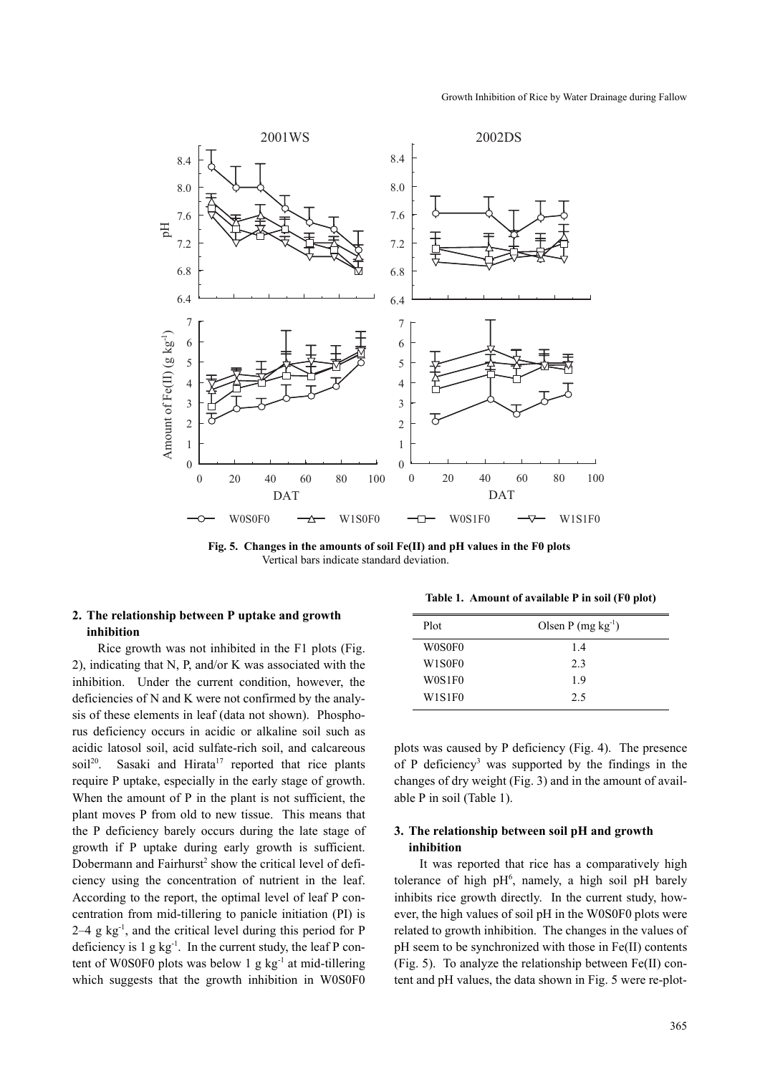

**Fig. 5. Changes in the amounts of soil Fe(II) and pH values in the F0 plots**  Vertical bars indicate standard deviation.

# **2. The relationship between P uptake and growth inhibition**

Rice growth was not inhibited in the F1 plots (Fig. 2), indicating that N, P, and/or K was associated with the inhibition. Under the current condition, however, the deficiencies of N and K were not confirmed by the analysis of these elements in leaf (data not shown). Phosphorus deficiency occurs in acidic or alkaline soil such as acidic latosol soil, acid sulfate-rich soil, and calcareous soil<sup>20</sup>. Sasaki and Hirata<sup>17</sup> reported that rice plants require P uptake, especially in the early stage of growth. When the amount of P in the plant is not sufficient, the plant moves P from old to new tissue. This means that the P deficiency barely occurs during the late stage of growth if P uptake during early growth is sufficient. Dobermann and Fairhurst<sup>2</sup> show the critical level of deficiency using the concentration of nutrient in the leaf. According to the report, the optimal level of leaf P concentration from mid-tillering to panicle initiation (PI) is  $2-4$  g kg<sup>-1</sup>, and the critical level during this period for P deficiency is  $1$  g kg<sup>-1</sup>. In the current study, the leaf P content of W0S0F0 plots was below 1 g  $kg^{-1}$  at mid-tillering which suggests that the growth inhibition in W0S0F0

**Table 1. Amount of available P in soil (F0 plot)**

| <b>Plot</b> | Olsen P $(mg kg-1)$ |
|-------------|---------------------|
| W0S0F0      | 14                  |
| W1S0F0      | 2.3                 |
| W0S1F0      | 19                  |
| W1S1F0      | 2.5                 |

plots was caused by P deficiency (Fig. 4). The presence of P deficiency<sup>3</sup> was supported by the findings in the changes of dry weight (Fig. 3) and in the amount of available P in soil (Table 1).

# **3. The relationship between soil pH and growth inhibition**

It was reported that rice has a comparatively high tolerance of high  $pH^6$ , namely, a high soil pH barely inhibits rice growth directly. In the current study, however, the high values of soil pH in the W0S0F0 plots were related to growth inhibition. The changes in the values of pH seem to be synchronized with those in Fe(II) contents (Fig. 5). To analyze the relationship between Fe(II) content and pH values, the data shown in Fig. 5 were re-plot-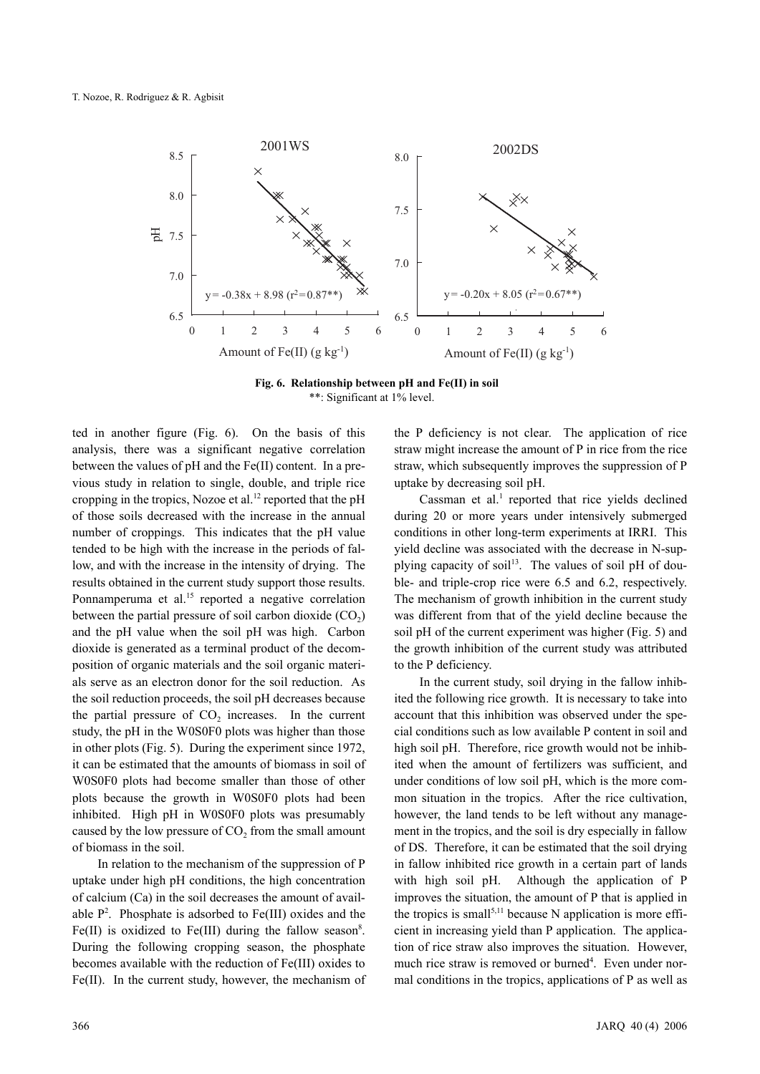

**Fig. 6. Relationship between pH and Fe(II) in soil** \*\*: Significant at 1% level.

ted in another figure (Fig. 6). On the basis of this analysis, there was a significant negative correlation between the values of pH and the Fe(II) content. In a previous study in relation to single, double, and triple rice cropping in the tropics, Nozoe et al.<sup>12</sup> reported that the pH of those soils decreased with the increase in the annual number of croppings. This indicates that the pH value tended to be high with the increase in the periods of fallow, and with the increase in the intensity of drying. The results obtained in the current study support those results. Ponnamperuma et al.<sup>15</sup> reported a negative correlation between the partial pressure of soil carbon dioxide  $(CO<sub>2</sub>)$ and the pH value when the soil pH was high. Carbon dioxide is generated as a terminal product of the decomposition of organic materials and the soil organic materials serve as an electron donor for the soil reduction. As the soil reduction proceeds, the soil pH decreases because the partial pressure of  $CO<sub>2</sub>$  increases. In the current study, the pH in the W0S0F0 plots was higher than those in other plots (Fig. 5). During the experiment since 1972, it can be estimated that the amounts of biomass in soil of W0S0F0 plots had become smaller than those of other plots because the growth in W0S0F0 plots had been inhibited. High pH in W0S0F0 plots was presumably caused by the low pressure of  $CO<sub>2</sub>$  from the small amount of biomass in the soil.

In relation to the mechanism of the suppression of P uptake under high pH conditions, the high concentration of calcium (Ca) in the soil decreases the amount of available  $P^2$ . Phosphate is adsorbed to Fe(III) oxides and the Fe(II) is oxidized to Fe(III) during the fallow season<sup>8</sup>. During the following cropping season, the phosphate becomes available with the reduction of Fe(III) oxides to Fe(II). In the current study, however, the mechanism of the P deficiency is not clear. The application of rice straw might increase the amount of P in rice from the rice straw, which subsequently improves the suppression of P uptake by decreasing soil pH.

Cassman et al. $<sup>1</sup>$  reported that rice yields declined</sup> during 20 or more years under intensively submerged conditions in other long-term experiments at IRRI. This yield decline was associated with the decrease in N-supplying capacity of soil<sup>13</sup>. The values of soil pH of double- and triple-crop rice were 6.5 and 6.2, respectively. The mechanism of growth inhibition in the current study was different from that of the yield decline because the soil pH of the current experiment was higher (Fig. 5) and the growth inhibition of the current study was attributed to the P deficiency.

In the current study, soil drying in the fallow inhibited the following rice growth. It is necessary to take into account that this inhibition was observed under the special conditions such as low available P content in soil and high soil pH. Therefore, rice growth would not be inhibited when the amount of fertilizers was sufficient, and under conditions of low soil pH, which is the more common situation in the tropics. After the rice cultivation, however, the land tends to be left without any management in the tropics, and the soil is dry especially in fallow of DS. Therefore, it can be estimated that the soil drying in fallow inhibited rice growth in a certain part of lands with high soil pH. Although the application of P improves the situation, the amount of P that is applied in the tropics is small<sup>5,11</sup> because N application is more efficient in increasing yield than P application. The application of rice straw also improves the situation. However, much rice straw is removed or burned<sup>4</sup>. Even under normal conditions in the tropics, applications of P as well as